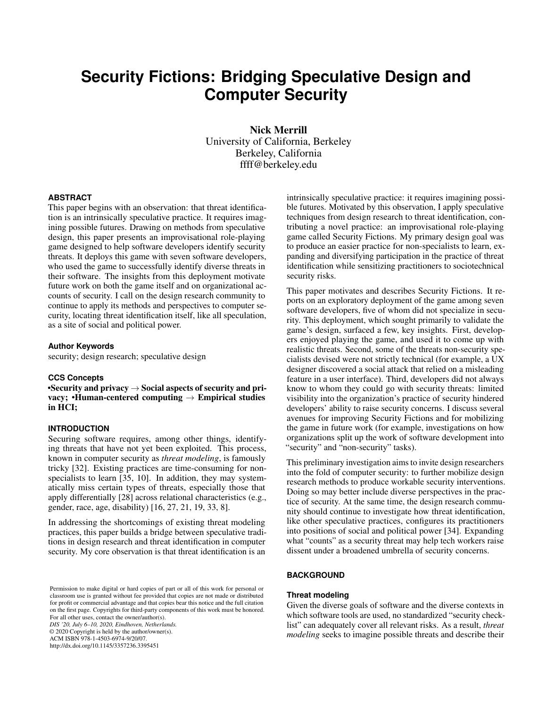# **Security Fictions: Bridging Speculative Design and Computer Security**

Nick Merrill University of California, Berkeley Berkeley, California ffff@berkeley.edu

#### **ABSTRACT**

This paper begins with an observation: that threat identification is an intrinsically speculative practice. It requires imagining possible futures. Drawing on methods from speculative design, this paper presents an improvisational role-playing game designed to help software developers identify security threats. It deploys this game with seven software developers, who used the game to successfully identify diverse threats in their software. The insights from this deployment motivate future work on both the game itself and on organizational accounts of security. I call on the design research community to continue to apply its methods and perspectives to computer security, locating threat identification itself, like all speculation, as a site of social and political power.

#### **Author Keywords**

security; design research; speculative design

# **CCS Concepts**

•Security and privacy  $\rightarrow$  Social aspects of security and privacy; •Human-centered computing  $\rightarrow$  Empirical studies in HCI;

## **INTRODUCTION**

Securing software requires, among other things, identifying threats that have not yet been exploited. This process, known in computer security as *threat modeling*, is famously tricky [\[32\]](#page-8-0). Existing practices are time-consuming for non-specialists to learn [\[35,](#page-8-1) [10\]](#page-7-0). In addition, they may systematically miss certain types of threats, especially those that apply differentially [\[28\]](#page-8-2) across relational characteristics (e.g., gender, race, age, disability) [\[16,](#page-8-3) [27,](#page-8-4) [21,](#page-8-5) [19,](#page-8-6) [33,](#page-8-7) [8\]](#page-7-1).

In addressing the shortcomings of existing threat modeling practices, this paper builds a bridge between speculative traditions in design research and threat identification in computer security. My core observation is that threat identification is an

Permission to make digital or hard copies of part or all of this work for personal or classroom use is granted without fee provided that copies are not made or distributed for profit or commercial advantage and that copies bear this notice and the full citation on the first page. Copyrights for third-party components of this work must be honored. For all other uses, contact the owner/author(s). *DIS '20, July 6–10, 2020, Eindhoven, Netherlands.* © 2020 Copyright is held by the author/owner(s). ACM ISBN 978-1-4503-6974-9/20/07.

http://dx.doi.org/10.1145/3357236.3395451

intrinsically speculative practice: it requires imagining possible futures. Motivated by this observation, I apply speculative techniques from design research to threat identification, contributing a novel practice: an improvisational role-playing game called Security Fictions. My primary design goal was to produce an easier practice for non-specialists to learn, expanding and diversifying participation in the practice of threat identification while sensitizing practitioners to sociotechnical security risks.

This paper motivates and describes Security Fictions. It reports on an exploratory deployment of the game among seven software developers, five of whom did not specialize in security. This deployment, which sought primarily to validate the game's design, surfaced a few, key insights. First, developers enjoyed playing the game, and used it to come up with realistic threats. Second, some of the threats non-security specialists devised were not strictly technical (for example, a UX designer discovered a social attack that relied on a misleading feature in a user interface). Third, developers did not always know to whom they could go with security threats: limited visibility into the organization's practice of security hindered developers' ability to raise security concerns. I discuss several avenues for improving Security Fictions and for mobilizing the game in future work (for example, investigations on how organizations split up the work of software development into "security" and "non-security" tasks).

This preliminary investigation aims to invite design researchers into the fold of computer security: to further mobilize design research methods to produce workable security interventions. Doing so may better include diverse perspectives in the practice of security. At the same time, the design research community should continue to investigate how threat identification, like other speculative practices, configures its practitioners into positions of social and political power [\[34\]](#page-8-8). Expanding what "counts" as a security threat may help tech workers raise dissent under a broadened umbrella of security concerns.

# **BACKGROUND**

#### **Threat modeling**

Given the diverse goals of software and the diverse contexts in which software tools are used, no standardized "security checklist" can adequately cover all relevant risks. As a result, *threat modeling* seeks to imagine possible threats and describe their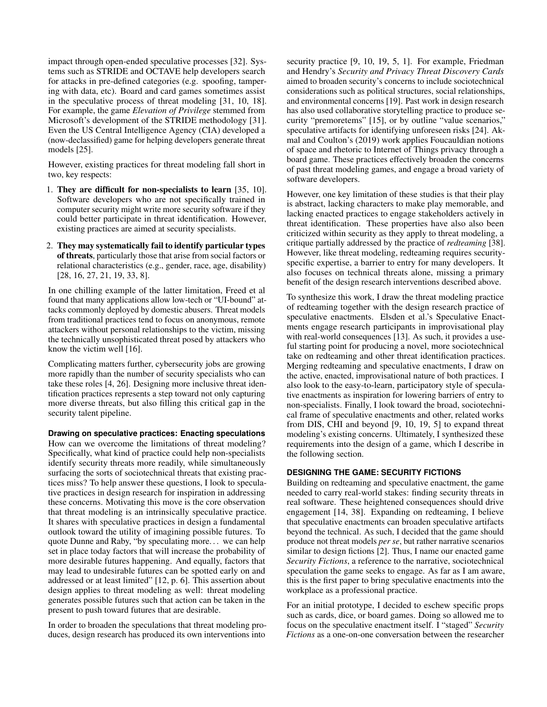impact through open-ended speculative processes [\[32\]](#page-8-0). Systems such as STRIDE and OCTAVE help developers search for attacks in pre-defined categories (e.g. spoofing, tampering with data, etc). Board and card games sometimes assist in the speculative process of threat modeling [\[31,](#page-8-9) [10,](#page-7-0) [18\]](#page-8-10). For example, the game *Elevation of Privilege* stemmed from Microsoft's development of the STRIDE methodology [\[31\]](#page-8-9). Even the US Central Intelligence Agency (CIA) developed a (now-declassified) game for helping developers generate threat models [\[25\]](#page-8-11).

However, existing practices for threat modeling fall short in two, key respects:

- 1. They are difficult for non-specialists to learn [\[35,](#page-8-1) [10\]](#page-7-0). Software developers who are not specifically trained in computer security might write more security software if they could better participate in threat identification. However, existing practices are aimed at security specialists.
- 2. They may systematically fail to identify particular types of threats, particularly those that arise from social factors or relational characteristics (e.g., gender, race, age, disability) [\[28,](#page-8-2) [16,](#page-8-3) [27,](#page-8-4) [21,](#page-8-5) [19,](#page-8-6) [33,](#page-8-7) [8\]](#page-7-1).

In one chilling example of the latter limitation, Freed et al found that many applications allow low-tech or "UI-bound" attacks commonly deployed by domestic abusers. Threat models from traditional practices tend to focus on anonymous, remote attackers without personal relationships to the victim, missing the technically unsophisticated threat posed by attackers who know the victim well [\[16\]](#page-8-3).

Complicating matters further, cybersecurity jobs are growing more rapidly than the number of security specialists who can take these roles [\[4,](#page-7-2) [26\]](#page-8-12). Designing more inclusive threat identification practices represents a step toward not only capturing more diverse threats, but also filling this critical gap in the security talent pipeline.

**Drawing on speculative practices: Enacting speculations** How can we overcome the limitations of threat modeling? Specifically, what kind of practice could help non-specialists identify security threats more readily, while simultaneously surfacing the sorts of sociotechnical threats that existing practices miss? To help answer these questions, I look to speculative practices in design research for inspiration in addressing these concerns. Motivating this move is the core observation that threat modeling is an intrinsically speculative practice. It shares with speculative practices in design a fundamental outlook toward the utility of imagining possible futures. To quote Dunne and Raby, "by speculating more. . . we can help set in place today factors that will increase the probability of more desirable futures happening. And equally, factors that may lead to undesirable futures can be spotted early on and addressed or at least limited" [\[12,](#page-7-3) p. 6]. This assertion about design applies to threat modeling as well: threat modeling generates possible futures such that action can be taken in the present to push toward futures that are desirable.

In order to broaden the speculations that threat modeling produces, design research has produced its own interventions into security practice [\[9,](#page-7-4) [10,](#page-7-0) [19,](#page-8-6) [5,](#page-7-5) [1\]](#page-7-6). For example, Friedman and Hendry's *Security and Privacy Threat Discovery Cards* aimed to broaden security's concerns to include sociotechnical considerations such as political structures, social relationships, and environmental concerns [\[19\]](#page-8-6). Past work in design research has also used collaborative storytelling practice to produce security "premoretems" [\[15\]](#page-8-13), or by outline "value scenarios," speculative artifacts for identifying unforeseen risks [\[24\]](#page-8-14). Akmal and Coulton's (2019) work applies Foucauldian notions of space and rhetoric to Internet of Things privacy through a board game. These practices effectively broaden the concerns of past threat modeling games, and engage a broad variety of software developers.

However, one key limitation of these studies is that their play is abstract, lacking characters to make play memorable, and lacking enacted practices to engage stakeholders actively in threat identification. These properties have also also been criticized within security as they apply to threat modeling, a critique partially addressed by the practice of *redteaming* [\[38\]](#page-8-15). However, like threat modeling, redteaming requires securityspecific expertise, a barrier to entry for many developers. It also focuses on technical threats alone, missing a primary benefit of the design research interventions described above.

To synthesize this work, I draw the threat modeling practice of redteaming together with the design research practice of speculative enactments. Elsden et al.'s Speculative Enactments engage research participants in improvisational play with real-world consequences [\[13\]](#page-7-7). As such, it provides a useful starting point for producing a novel, more sociotechnical take on redteaming and other threat identification practices. Merging redteaming and speculative enactments, I draw on the active, enacted, improvisational nature of both practices. I also look to the easy-to-learn, participatory style of speculative enactments as inspiration for lowering barriers of entry to non-specialists. Finally, I look toward the broad, sociotechnical frame of speculative enactments and other, related works from DIS, CHI and beyond [\[9,](#page-7-4) [10,](#page-7-0) [19,](#page-8-6) [5\]](#page-7-5) to expand threat modeling's existing concerns. Ultimately, I synthesized these requirements into the design of a game, which I describe in the following section.

# <span id="page-1-0"></span>**DESIGNING THE GAME: SECURITY FICTIONS**

Building on redteaming and speculative enactment, the game needed to carry real-world stakes: finding security threats in real software. These heightened consequences should drive engagement [\[14,](#page-8-16) [38\]](#page-8-15). Expanding on redteaming, I believe that speculative enactments can broaden speculative artifacts beyond the technical. As such, I decided that the game should produce not threat models *per se*, but rather narrative scenarios similar to design fictions [\[2\]](#page-7-8). Thus, I name our enacted game *Security Fictions*, a reference to the narrative, sociotechnical speculation the game seeks to engage. As far as I am aware, this is the first paper to bring speculative enactments into the workplace as a professional practice.

For an initial prototype, I decided to eschew specific props such as cards, dice, or board games. Doing so allowed me to focus on the speculative enactment itself. I "staged" *Security Fictions* as a one-on-one conversation between the researcher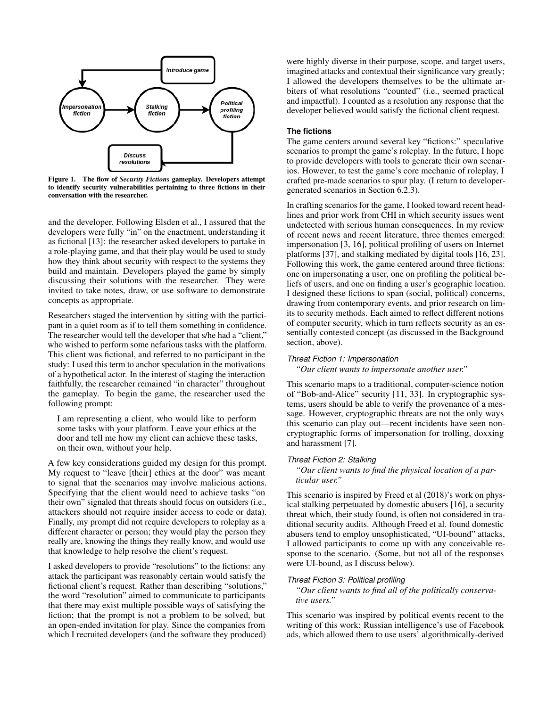

Figure 1. The flow of *Security Fictions* gameplay. Developers attempt to identify security vulnerabilities pertaining to three fictions in their conversation with the researcher.

and the developer. Following Elsden et al., I assured that the developers were fully "in" on the enactment, understanding it as fictional [\[13\]](#page-7-7): the researcher asked developers to partake in a role-playing game, and that their play would be used to study how they think about security with respect to the systems they build and maintain. Developers played the game by simply discussing their solutions with the researcher. They were invited to take notes, draw, or use software to demonstrate concepts as appropriate.

Researchers staged the intervention by sitting with the participant in a quiet room as if to tell them something in confidence. The researcher would tell the developer that s/he had a "client," who wished to perform some nefarious tasks with the platform. This client was fictional, and referred to no participant in the study: I used this term to anchor speculation in the motivations of a hypothetical actor. In the interest of staging the interaction faithfully, the researcher remained "in character" throughout the gameplay. To begin the game, the researcher used the following prompt:

I am representing a client, who would like to perform some tasks with your platform. Leave your ethics at the door and tell me how my client can achieve these tasks, on their own, without your help.

A few key considerations guided my design for this prompt. My request to "leave [their] ethics at the door" was meant to signal that the scenarios may involve malicious actions. Specifying that the client would need to achieve tasks "on their own" signaled that threats should focus on outsiders (i.e., attackers should not require insider access to code or data). Finally, my prompt did not require developers to roleplay as a different character or person; they would play the person they really are, knowing the things they really know, and would use that knowledge to help resolve the client's request.

I asked developers to provide "resolutions" to the fictions: any attack the participant was reasonably certain would satisfy the fictional client's request. Rather than describing "solutions," the word "resolution" aimed to communicate to participants that there may exist multiple possible ways of satisfying the fiction; that the prompt is not a problem to be solved, but an open-ended invitation for play. Since the companies from which I recruited developers (and the software they produced) were highly diverse in their purpose, scope, and target users, imagined attacks and contextual their significance vary greatly; I allowed the developers themselves to be the ultimate arbiters of what resolutions "counted" (i.e., seemed practical and impactful). I counted as a resolution any response that the developer believed would satisfy the fictional client request.

# **The fictions**

The game centers around several key "fictions:" speculative scenarios to prompt the game's roleplay. In the future, I hope to provide developers with tools to generate their own scenarios. However, to test the game's core mechanic of roleplay, I crafted pre-made scenarios to spur play. (I return to developergenerated scenarios in Section [6.2.3\)](#page-7-9).

In crafting scenarios for the game, I looked toward recent headlines and prior work from CHI in which security issues went undetected with serious human consequences. In my review of recent news and recent literature, three themes emerged: impersonation [\[3,](#page-7-10) [16\]](#page-8-3), political profiling of users on Internet platforms [\[37\]](#page-8-17), and stalking mediated by digital tools [\[16,](#page-8-3) [23\]](#page-8-18). Following this work, the game centered around three fictions: one on impersonating a user, one on profiling the political beliefs of users, and one on finding a user's geographic location. I designed these fictions to span (social, political) concerns, drawing from contemporary events, and prior research on limits to security methods. Each aimed to reflect different notions of computer security, which in turn reflects security as an essentially contested concept (as discussed in the Background section, above).

#### *Threat Fiction 1: Impersonation*

*"Our client wants to impersonate another user."*

This scenario maps to a traditional, computer-science notion of "Bob-and-Alice" security [\[11,](#page-7-11) [33\]](#page-8-7). In cryptographic systems, users should be able to verify the provenance of a message. However, cryptographic threats are not the only ways this scenario can play out—recent incidents have seen noncryptographic forms of impersonation for trolling, doxxing and harassment [\[7\]](#page-7-12).

#### *Threat Fiction 2: Stalking*

*"Our client wants to find the physical location of a particular user."*

This scenario is inspired by Freed et al (2018)'s work on physical stalking perpetuated by domestic abusers [\[16\]](#page-8-3), a security threat which, their study found, is often not considered in traditional security audits. Although Freed et al. found domestic abusers tend to employ unsophisticated, "UI-bound" attacks, I allowed participants to come up with any conceivable response to the scenario. (Some, but not all of the responses were UI-bound, as I discuss below).

#### *Threat Fiction 3: Political profiling*

*"Our client wants to find all of the politically conservative users."*

This scenario was inspired by political events recent to the writing of this work: Russian intelligence's use of Facebook ads, which allowed them to use users' algorithmically-derived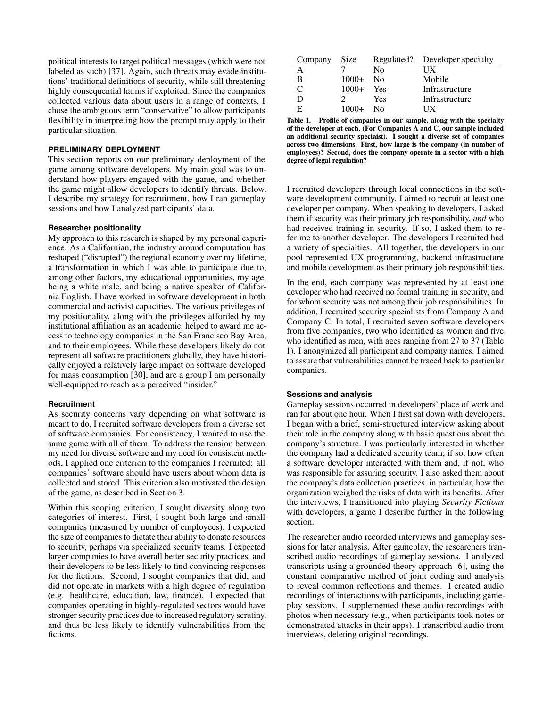political interests to target political messages (which were not labeled as such) [\[37\]](#page-8-17). Again, such threats may evade institutions' traditional definitions of security, while still threatening highly consequential harms if exploited. Since the companies collected various data about users in a range of contexts, I chose the ambiguous term "conservative" to allow participants flexibility in interpreting how the prompt may apply to their particular situation.

#### **PRELIMINARY DEPLOYMENT**

This section reports on our preliminary deployment of the game among software developers. My main goal was to understand how players engaged with the game, and whether the game might allow developers to identify threats. Below, I describe my strategy for recruitment, how I ran gameplay sessions and how I analyzed participants' data.

#### **Researcher positionality**

My approach to this research is shaped by my personal experience. As a Californian, the industry around computation has reshaped ("disrupted") the regional economy over my lifetime, a transformation in which I was able to participate due to, among other factors, my educational opportunities, my age, being a white male, and being a native speaker of California English. I have worked in software development in both commercial and activist capacities. The various privileges of my positionality, along with the privileges afforded by my institutional affiliation as an academic, helped to award me access to technology companies in the San Francisco Bay Area, and to their employees. While these developers likely do not represent all software practitioners globally, they have historically enjoyed a relatively large impact on software developed for mass consumption [\[30\]](#page-8-19), and are a group I am personally well-equipped to reach as a perceived "insider."

#### **Recruitment**

As security concerns vary depending on what software is meant to do, I recruited software developers from a diverse set of software companies. For consistency, I wanted to use the same game with all of them. To address the tension between my need for diverse software and my need for consistent methods, I applied one criterion to the companies I recruited: all companies' software should have users about whom data is collected and stored. This criterion also motivated the design of the game, as described in Section [3.](#page-1-0)

Within this scoping criterion, I sought diversity along two categories of interest. First, I sought both large and small companies (measured by number of employees). I expected the size of companies to dictate their ability to donate resources to security, perhaps via specialized security teams. I expected larger companies to have overall better security practices, and their developers to be less likely to find convincing responses for the fictions. Second, I sought companies that did, and did not operate in markets with a high degree of regulation (e.g. healthcare, education, law, finance). I expected that companies operating in highly-regulated sectors would have stronger security practices due to increased regulatory scrutiny, and thus be less likely to identify vulnerabilities from the fictions.

| Company | <b>Size</b> |            | Regulated? Developer specialty |
|---------|-------------|------------|--------------------------------|
|         |             | Nο         | UХ                             |
| в       | $1000+$     | - No       | Mobile                         |
|         | $1000+$     | <b>Yes</b> | Infrastructure                 |
|         |             | Yes        | Infrastructure                 |
| F       | 1000+       | - No       | $\mathsf{H} \mathbf{X}$        |

<span id="page-3-0"></span>Table 1. Profile of companies in our sample, along with the specialty of the developer at each. (For Companies A and C, our sample included an additional security speciaist). I sought a diverse set of companies across two dimensions. First, how large is the company (in number of employees)? Second, does the company operate in a sector with a high degree of legal regulation?

I recruited developers through local connections in the software development community. I aimed to recruit at least one developer per company. When speaking to developers, I asked them if security was their primary job responsibility, *and* who had received training in security. If so, I asked them to refer me to another developer. The developers I recruited had a variety of specialties. All together, the developers in our pool represented UX programming, backend infrastructure and mobile development as their primary job responsibilities.

In the end, each company was represented by at least one developer who had received no formal training in security, and for whom security was not among their job responsibilities. In addition, I recruited security specialists from Company A and Company C. In total, I recruited seven software developers from five companies, two who identified as women and five who identified as men, with ages ranging from 27 to 37 (Table [1\)](#page-3-0). I anonymized all participant and company names. I aimed to assure that vulnerabilities cannot be traced back to particular companies.

#### **Sessions and analysis**

Gameplay sessions occurred in developers' place of work and ran for about one hour. When I first sat down with developers, I began with a brief, semi-structured interview asking about their role in the company along with basic questions about the company's structure. I was particularly interested in whether the company had a dedicated security team; if so, how often a software developer interacted with them and, if not, who was responsible for assuring security. I also asked them about the company's data collection practices, in particular, how the organization weighed the risks of data with its benefits. After the interviews, I transitioned into playing *Security Fictions* with developers, a game I describe further in the following section.

The researcher audio recorded interviews and gameplay sessions for later analysis. After gameplay, the researchers transcribed audio recordings of gameplay sessions. I analyzed transcripts using a grounded theory approach [\[6\]](#page-7-13), using the constant comparative method of joint coding and analysis to reveal common reflections and themes. I created audio recordings of interactions with participants, including gameplay sessions. I supplemented these audio recordings with photos when necessary (e.g., when participants took notes or demonstrated attacks in their apps). I transcribed audio from interviews, deleting original recordings.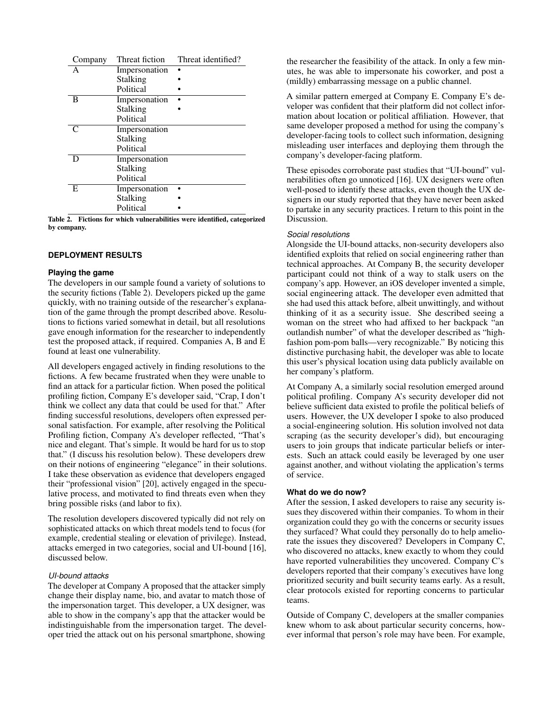| Company | Threat fiction | Threat identified? |
|---------|----------------|--------------------|
|         | Impersonation  |                    |
|         | Stalking       |                    |
|         | Political      |                    |
| в       | Impersonation  |                    |
|         | Stalking       |                    |
|         | Political      |                    |
|         | Impersonation  |                    |
|         | Stalking       |                    |
|         | Political      |                    |
|         | Impersonation  |                    |
|         | Stalking       |                    |
|         | Political      |                    |
| E       | Impersonation  |                    |
|         | Stalking       |                    |
|         | Political      |                    |

<span id="page-4-0"></span>Table 2. Fictions for which vulnerabilities were identified, categorized by company.

# **DEPLOYMENT RESULTS**

#### **Playing the game**

The developers in our sample found a variety of solutions to the security fictions (Table [2\)](#page-4-0). Developers picked up the game quickly, with no training outside of the researcher's explanation of the game through the prompt described above. Resolutions to fictions varied somewhat in detail, but all resolutions gave enough information for the researcher to independently test the proposed attack, if required. Companies A, B and E found at least one vulnerability.

All developers engaged actively in finding resolutions to the fictions. A few became frustrated when they were unable to find an attack for a particular fiction. When posed the political profiling fiction, Company E's developer said, "Crap, I don't think we collect any data that could be used for that." After finding successful resolutions, developers often expressed personal satisfaction. For example, after resolving the Political Profiling fiction, Company A's developer reflected, "That's nice and elegant. That's simple. It would be hard for us to stop that." (I discuss his resolution below). These developers drew on their notions of engineering "elegance" in their solutions. I take these observation as evidence that developers engaged their "professional vision" [\[20\]](#page-8-20), actively engaged in the speculative process, and motivated to find threats even when they bring possible risks (and labor to fix).

The resolution developers discovered typically did not rely on sophisticated attacks on which threat models tend to focus (for example, credential stealing or elevation of privilege). Instead, attacks emerged in two categories, social and UI-bound [\[16\]](#page-8-3), discussed below.

## *UI-bound attacks*

The developer at Company A proposed that the attacker simply change their display name, bio, and avatar to match those of the impersonation target. This developer, a UX designer, was able to show in the company's app that the attacker would be indistinguishable from the impersonation target. The developer tried the attack out on his personal smartphone, showing the researcher the feasibility of the attack. In only a few minutes, he was able to impersonate his coworker, and post a (mildly) embarrassing message on a public channel.

A similar pattern emerged at Company E. Company E's developer was confident that their platform did not collect information about location or political affiliation. However, that same developer proposed a method for using the company's developer-facing tools to collect such information, designing misleading user interfaces and deploying them through the company's developer-facing platform.

These episodes corroborate past studies that "UI-bound" vulnerabilities often go unnoticed [\[16\]](#page-8-3). UX designers were often well-posed to identify these attacks, even though the UX designers in our study reported that they have never been asked to partake in any security practices. I return to this point in the Discussion.

## *Social resolutions*

Alongside the UI-bound attacks, non-security developers also identified exploits that relied on social engineering rather than technical approaches. At Company B, the security developer participant could not think of a way to stalk users on the company's app. However, an iOS developer invented a simple, social engineering attack. The developer even admitted that she had used this attack before, albeit unwittingly, and without thinking of it as a security issue. She described seeing a woman on the street who had affixed to her backpack "an outlandish number" of what the developer described as "highfashion pom-pom balls—very recognizable." By noticing this distinctive purchasing habit, the developer was able to locate this user's physical location using data publicly available on her company's platform.

At Company A, a similarly social resolution emerged around political profiling. Company A's security developer did not believe sufficient data existed to profile the political beliefs of users. However, the UX developer I spoke to also produced a social-engineering solution. His solution involved not data scraping (as the security developer's did), but encouraging users to join groups that indicate particular beliefs or interests. Such an attack could easily be leveraged by one user against another, and without violating the application's terms of service.

#### **What do we do now?**

After the session, I asked developers to raise any security issues they discovered within their companies. To whom in their organization could they go with the concerns or security issues they surfaced? What could they personally do to help ameliorate the issues they discovered? Developers in Company C, who discovered no attacks, knew exactly to whom they could have reported vulnerabilities they uncovered. Company C's developers reported that their company's executives have long prioritized security and built security teams early. As a result, clear protocols existed for reporting concerns to particular teams.

Outside of Company C, developers at the smaller companies knew whom to ask about particular security concerns, however informal that person's role may have been. For example,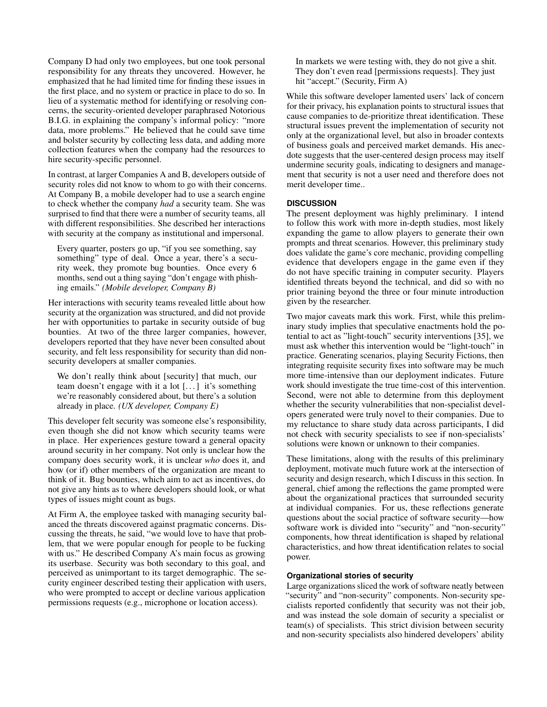Company D had only two employees, but one took personal responsibility for any threats they uncovered. However, he emphasized that he had limited time for finding these issues in the first place, and no system or practice in place to do so. In lieu of a systematic method for identifying or resolving concerns, the security-oriented developer paraphrased Notorious B.I.G. in explaining the company's informal policy: "more data, more problems." He believed that he could save time and bolster security by collecting less data, and adding more collection features when the company had the resources to hire security-specific personnel.

In contrast, at larger Companies A and B, developers outside of security roles did not know to whom to go with their concerns. At Company B, a mobile developer had to use a search engine to check whether the company *had* a security team. She was surprised to find that there were a number of security teams, all with different responsibilities. She described her interactions with security at the company as institutional and impersonal.

Every quarter, posters go up, "if you see something, say something" type of deal. Once a year, there's a security week, they promote bug bounties. Once every 6 months, send out a thing saying "don't engage with phishing emails." *(Mobile developer, Company B)*

Her interactions with security teams revealed little about how security at the organization was structured, and did not provide her with opportunities to partake in security outside of bug bounties. At two of the three larger companies, however, developers reported that they have never been consulted about security, and felt less responsibility for security than did nonsecurity developers at smaller companies.

We don't really think about [security] that much, our team doesn't engage with it a lot [. . . ] it's something we're reasonably considered about, but there's a solution already in place. *(UX developer, Company E)*

This developer felt security was someone else's responsibility, even though she did not know which security teams were in place. Her experiences gesture toward a general opacity around security in her company. Not only is unclear how the company does security work, it is unclear *who* does it, and how (or if) other members of the organization are meant to think of it. Bug bounties, which aim to act as incentives, do not give any hints as to where developers should look, or what types of issues might count as bugs.

At Firm A, the employee tasked with managing security balanced the threats discovered against pragmatic concerns. Discussing the threats, he said, "we would love to have that problem, that we were popular enough for people to be fucking with us." He described Company A's main focus as growing its userbase. Security was both secondary to this goal, and perceived as unimportant to its target demographic. The security engineer described testing their application with users, who were prompted to accept or decline various application permissions requests (e.g., microphone or location access).

In markets we were testing with, they do not give a shit. They don't even read [permissions requests]. They just hit "accept." (Security, Firm A)

While this software developer lamented users' lack of concern for their privacy, his explanation points to structural issues that cause companies to de-prioritize threat identification. These structural issues prevent the implementation of security not only at the organizational level, but also in broader contexts of business goals and perceived market demands. His anecdote suggests that the user-centered design process may itself undermine security goals, indicating to designers and management that security is not a user need and therefore does not merit developer time..

# **DISCUSSION**

The present deployment was highly preliminary. I intend to follow this work with more in-depth studies, most likely expanding the game to allow players to generate their own prompts and threat scenarios. However, this preliminary study does validate the game's core mechanic, providing compelling evidence that developers engage in the game even if they do not have specific training in computer security. Players identified threats beyond the technical, and did so with no prior training beyond the three or four minute introduction given by the researcher.

Two major caveats mark this work. First, while this preliminary study implies that speculative enactments hold the potential to act as "light-touch" security interventions [\[35\]](#page-8-1), we must ask whether this intervention would be "light-touch" in practice. Generating scenarios, playing Security Fictions, then integrating requisite security fixes into software may be much more time-intensive than our deployment indicates. Future work should investigate the true time-cost of this intervention. Second, were not able to determine from this deployment whether the security vulnerabilities that non-specialist developers generated were truly novel to their companies. Due to my reluctance to share study data across participants, I did not check with security specialists to see if non-specialists' solutions were known or unknown to their companies.

These limitations, along with the results of this preliminary deployment, motivate much future work at the intersection of security and design research, which I discuss in this section. In general, chief among the reflections the game prompted were about the organizational practices that surrounded security at individual companies. For us, these reflections generate questions about the social practice of software security—how software work is divided into "security" and "non-security" components, how threat identification is shaped by relational characteristics, and how threat identification relates to social power.

#### **Organizational stories of security**

Large organizations sliced the work of software neatly between "security" and "non-security" components. Non-security specialists reported confidently that security was not their job, and was instead the sole domain of security a specialist or team(s) of specialists. This strict division between security and non-security specialists also hindered developers' ability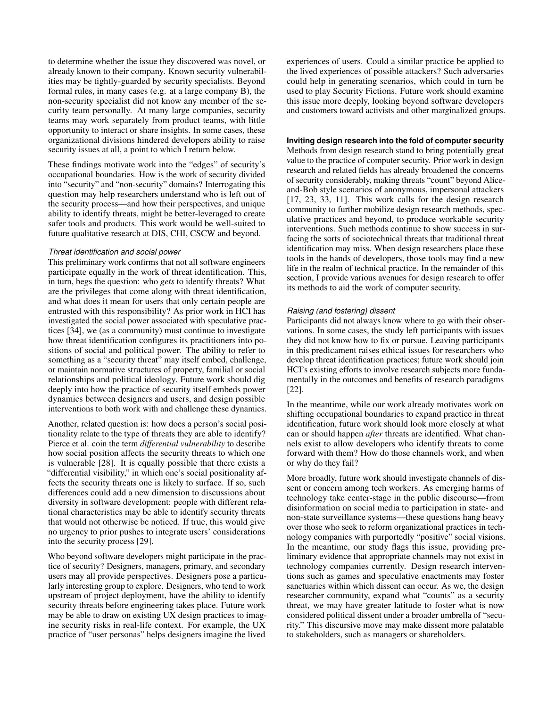to determine whether the issue they discovered was novel, or already known to their company. Known security vulnerabilities may be tightly-guarded by security specialists. Beyond formal rules, in many cases (e.g. at a large company B), the non-security specialist did not know any member of the security team personally. At many large companies, security teams may work separately from product teams, with little opportunity to interact or share insights. In some cases, these organizational divisions hindered developers ability to raise security issues at all, a point to which I return below.

These findings motivate work into the "edges" of security's occupational boundaries. How is the work of security divided into "security" and "non-security" domains? Interrogating this question may help researchers understand who is left out of the security process—and how their perspectives, and unique ability to identify threats, might be better-leveraged to create safer tools and products. This work would be well-suited to future qualitative research at DIS, CHI, CSCW and beyond.

#### *Threat identification and social power*

This preliminary work confirms that not all software engineers participate equally in the work of threat identification. This, in turn, begs the question: who *gets* to identify threats? What are the privileges that come along with threat identification, and what does it mean for users that only certain people are entrusted with this responsibility? As prior work in HCI has investigated the social power associated with speculative practices [\[34\]](#page-8-8), we (as a community) must continue to investigate how threat identification configures its practitioners into positions of social and political power. The ability to refer to something as a "security threat" may itself embed, challenge, or maintain normative structures of property, familial or social relationships and political ideology. Future work should dig deeply into how the practice of security itself embeds power dynamics between designers and users, and design possible interventions to both work with and challenge these dynamics.

Another, related question is: how does a person's social positionality relate to the type of threats they are able to identify? Pierce et al. coin the term *differential vulnerability* to describe how social position affects the security threats to which one is vulnerable [\[28\]](#page-8-2). It is equally possible that there exists a "differential visibility," in which one's social positionality affects the security threats one is likely to surface. If so, such differences could add a new dimension to discussions about diversity in software development: people with different relational characteristics may be able to identify security threats that would not otherwise be noticed. If true, this would give no urgency to prior pushes to integrate users' considerations into the security process [\[29\]](#page-8-21).

Who beyond software developers might participate in the practice of security? Designers, managers, primary, and secondary users may all provide perspectives. Designers pose a particularly interesting group to explore. Designers, who tend to work upstream of project deployment, have the ability to identify security threats before engineering takes place. Future work may be able to draw on existing UX design practices to imagine security risks in real-life context. For example, the UX practice of "user personas" helps designers imagine the lived

experiences of users. Could a similar practice be applied to the lived experiences of possible attackers? Such adversaries could help in generating scenarios, which could in turn be used to play Security Fictions. Future work should examine this issue more deeply, looking beyond software developers and customers toward activists and other marginalized groups.

# **Inviting design research into the fold of computer security**

Methods from design research stand to bring potentially great value to the practice of computer security. Prior work in design research and related fields has already broadened the concerns of security considerably, making threats "count" beyond Aliceand-Bob style scenarios of anonymous, impersonal attackers [\[17,](#page-8-22) [23,](#page-8-18) [33,](#page-8-7) [11\]](#page-7-11). This work calls for the design research community to further mobilize design research methods, speculative practices and beyond, to produce workable security interventions. Such methods continue to show success in surfacing the sorts of sociotechnical threats that traditional threat identification may miss. When design researchers place these tools in the hands of developers, those tools may find a new life in the realm of technical practice. In the remainder of this section, I provide various avenues for design research to offer its methods to aid the work of computer security.

# *Raising (and fostering) dissent*

Participants did not always know where to go with their observations. In some cases, the study left participants with issues they did not know how to fix or pursue. Leaving participants in this predicament raises ethical issues for researchers who develop threat identification practices; future work should join HCI's existing efforts to involve research subjects more fundamentally in the outcomes and benefits of research paradigms [\[22\]](#page-8-23).

In the meantime, while our work already motivates work on shifting occupational boundaries to expand practice in threat identification, future work should look more closely at what can or should happen *after* threats are identified. What channels exist to allow developers who identify threats to come forward with them? How do those channels work, and when or why do they fail?

More broadly, future work should investigate channels of dissent or concern among tech workers. As emerging harms of technology take center-stage in the public discourse—from disinformation on social media to participation in state- and non-state surveillance systems—these questions hang heavy over those who seek to reform organizational practices in technology companies with purportedly "positive" social visions. In the meantime, our study flags this issue, providing preliminary evidence that appropriate channels may not exist in technology companies currently. Design research interventions such as games and speculative enactments may foster sanctuaries within which dissent can occur. As we, the design researcher community, expand what "counts" as a security threat, we may have greater latitude to foster what is now considered political dissent under a broader umbrella of "security." This discursive move may make dissent more palatable to stakeholders, such as managers or shareholders.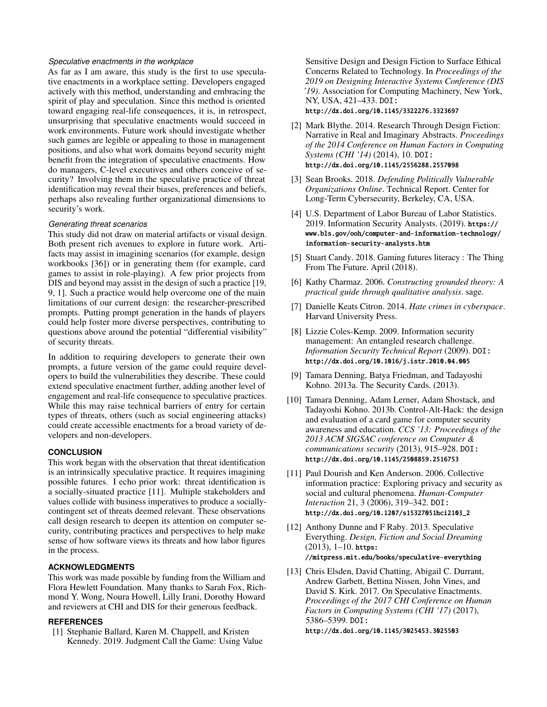## *Speculative enactments in the workplace*

As far as I am aware, this study is the first to use speculative enactments in a workplace setting. Developers engaged actively with this method, understanding and embracing the spirit of play and speculation. Since this method is oriented toward engaging real-life consequences, it is, in retrospect, unsurprising that speculative enactments would succeed in work environments. Future work should investigate whether such games are legible or appealing to those in management positions, and also what work domains beyond security might benefit from the integration of speculative enactments. How do managers, C-level executives and others conceive of security? Involving them in the speculative practice of threat identification may reveal their biases, preferences and beliefs, perhaps also revealing further organizational dimensions to security's work.

#### <span id="page-7-9"></span>*Generating threat scenarios*

This study did not draw on material artifacts or visual design. Both present rich avenues to explore in future work. Artifacts may assist in imagining scenarios (for example, design workbooks [\[36\]](#page-8-24)) or in generating them (for example, card games to assist in role-playing). A few prior projects from DIS and beyond may assist in the design of such a practice [\[19,](#page-8-6) [9,](#page-7-4) [1\]](#page-7-6). Such a practice would help overcome one of the main limitations of our current design: the researcher-prescribed prompts. Putting prompt generation in the hands of players could help foster more diverse perspectives, contributing to questions above around the potential "differential visibility" of security threats.

In addition to requiring developers to generate their own prompts, a future version of the game could require developers to build the vulnerabilities they describe. These could extend speculative enactment further, adding another level of engagement and real-life consequence to speculative practices. While this may raise technical barriers of entry for certain types of threats, others (such as social engineering attacks) could create accessible enactments for a broad variety of developers and non-developers.

## **CONCLUSION**

This work began with the observation that threat identification is an intrinsically speculative practice. It requires imagining possible futures. I echo prior work: threat identification is a socially-situated practice [\[11\]](#page-7-11). Multiple stakeholders and values collide with business imperatives to produce a sociallycontingent set of threats deemed relevant. These observations call design research to deepen its attention on computer security, contributing practices and perspectives to help make sense of how software views its threats and how labor figures in the process.

#### **ACKNOWLEDGMENTS**

This work was made possible by funding from the William and Flora Hewlett Foundation. Many thanks to Sarah Fox, Richmond Y. Wong, Noura Howell, Lilly Irani, Dorothy Howard and reviewers at CHI and DIS for their generous feedback.

#### <span id="page-7-6"></span>**REFERENCES**

[1] Stephanie Ballard, Karen M. Chappell, and Kristen Kennedy. 2019. Judgment Call the Game: Using Value

Sensitive Design and Design Fiction to Surface Ethical Concerns Related to Technology. In *Proceedings of the 2019 on Designing Interactive Systems Conference (DIS '19)*. Association for Computing Machinery, New York, NY, USA, 421–433. DOI:

<http://dx.doi.org/10.1145/3322276.3323697>

- <span id="page-7-8"></span>[2] Mark Blythe. 2014. Research Through Design Fiction: Narrative in Real and Imaginary Abstracts. *Proceedings of the 2014 Conference on Human Factors in Computing Systems (CHI '14)* (2014), 10. DOI: <http://dx.doi.org/10.1145/2556288.2557098>
- <span id="page-7-10"></span>[3] Sean Brooks. 2018. *Defending Politically Vulnerable Organizations Online*. Technical Report. Center for Long-Term Cybersecurity, Berkeley, CA, USA.
- <span id="page-7-2"></span>[4] U.S. Department of Labor Bureau of Labor Statistics. 2019. Information Security Analysts. (2019). [https://](https://www.bls.gov/ooh/computer-and-information-technology/information-security-analysts.htm) [www.bls.gov/ooh/computer-and-information-technology/](https://www.bls.gov/ooh/computer-and-information-technology/information-security-analysts.htm) [information-security-analysts.htm](https://www.bls.gov/ooh/computer-and-information-technology/information-security-analysts.htm)
- <span id="page-7-5"></span>[5] Stuart Candy. 2018. Gaming futures literacy : The Thing From The Future. April (2018).
- <span id="page-7-13"></span>[6] Kathy Charmaz. 2006. *Constructing grounded theory: A practical guide through qualitative analysis*. sage.
- <span id="page-7-12"></span>[7] Danielle Keats Citron. 2014. *Hate crimes in cyberspace*. Harvard University Press.
- <span id="page-7-1"></span>[8] Lizzie Coles-Kemp. 2009. Information security management: An entangled research challenge. *Information Security Technical Report* (2009). DOI: <http://dx.doi.org/10.1016/j.istr.2010.04.005>
- <span id="page-7-4"></span>[9] Tamara Denning, Batya Friedman, and Tadayoshi Kohno. 2013a. The Security Cards. (2013).
- <span id="page-7-0"></span>[10] Tamara Denning, Adam Lerner, Adam Shostack, and Tadayoshi Kohno. 2013b. Control-Alt-Hack: the design and evaluation of a card game for computer security awareness and education. *CCS '13: Proceedings of the 2013 ACM SIGSAC conference on Computer & communications security* (2013), 915–928. DOI: <http://dx.doi.org/10.1145/2508859.2516753>
- <span id="page-7-11"></span>[11] Paul Dourish and Ken Anderson. 2006. Collective information practice: Exploring privacy and security as social and cultural phenomena. *Human-Computer Interaction* 21, 3 (2006), 319–342. DOI: [http://dx.doi.org/10.1207/s15327051hci2103\\_2](http://dx.doi.org/10.1207/s15327051hci2103_2)
- <span id="page-7-3"></span>[12] Anthony Dunne and F Raby. 2013. Speculative Everything. *Design, Fiction and Social Dreaming*  $(2013), 1-10.$  [https:](https://mitpress.mit.edu/books/speculative-everything) [//mitpress.mit.edu/books/speculative-everything](https://mitpress.mit.edu/books/speculative-everything)
- <span id="page-7-7"></span>[13] Chris Elsden, David Chatting, Abigail C. Durrant, Andrew Garbett, Bettina Nissen, John Vines, and David S. Kirk. 2017. On Speculative Enactments. *Proceedings of the 2017 CHI Conference on Human Factors in Computing Systems (CHI '17)* (2017), 5386–5399. DOI:

<http://dx.doi.org/10.1145/3025453.3025503>